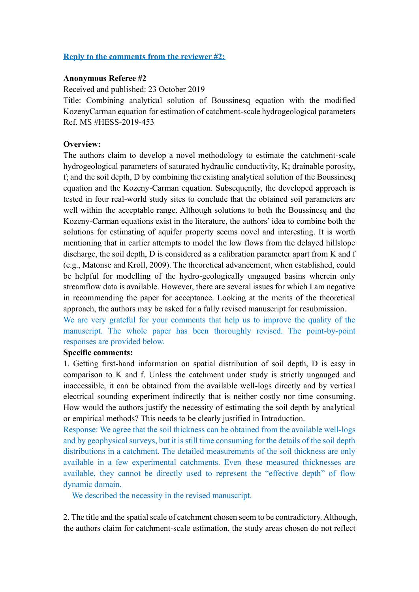## **Reply to the comments from the reviewer #2:**

#### **Anonymous Referee #2**

Received and published: 23 October 2019

Title: Combining analytical solution of Boussinesq equation with the modified KozenyCarman equation for estimation of catchment-scale hydrogeological parameters Ref. MS #HESS-2019-453

### **Overview:**

The authors claim to develop a novel methodology to estimate the catchment-scale hydrogeological parameters of saturated hydraulic conductivity, K; drainable porosity, f; and the soil depth, D by combining the existing analytical solution of the Boussinesq equation and the Kozeny-Carman equation. Subsequently, the developed approach is tested in four real-world study sites to conclude that the obtained soil parameters are well within the acceptable range. Although solutions to both the Boussinesq and the Kozeny-Carman equations exist in the literature, the authors' idea to combine both the solutions for estimating of aquifer property seems novel and interesting. It is worth mentioning that in earlier attempts to model the low flows from the delayed hillslope discharge, the soil depth, D is considered as a calibration parameter apart from K and f (e.g., Matonse and Kroll, 2009). The theoretical advancement, when established, could be helpful for modelling of the hydro-geologically ungauged basins wherein only streamflow data is available. However, there are several issues for which I am negative in recommending the paper for acceptance. Looking at the merits of the theoretical approach, the authors may be asked for a fully revised manuscript for resubmission.

We are very grateful for your comments that help us to improve the quality of the manuscript. The whole paper has been thoroughly revised. The point-by-point responses are provided below.

# **Specific comments:**

1. Getting first-hand information on spatial distribution of soil depth, D is easy in comparison to K and f. Unless the catchment under study is strictly ungauged and inaccessible, it can be obtained from the available well-logs directly and by vertical electrical sounding experiment indirectly that is neither costly nor time consuming. How would the authors justify the necessity of estimating the soil depth by analytical or empirical methods? This needs to be clearly justified in Introduction.

Response: We agree that the soil thickness can be obtained from the available well-logs and by geophysical surveys, but it is still time consuming for the details of the soil depth distributions in a catchment. The detailed measurements of the soil thickness are only available in a few experimental catchments. Even these measured thicknesses are available, they cannot be directly used to represent the "effective depth" of flow dynamic domain.

We described the necessity in the revised manuscript.

2. The title and the spatial scale of catchment chosen seem to be contradictory. Although, the authors claim for catchment-scale estimation, the study areas chosen do not reflect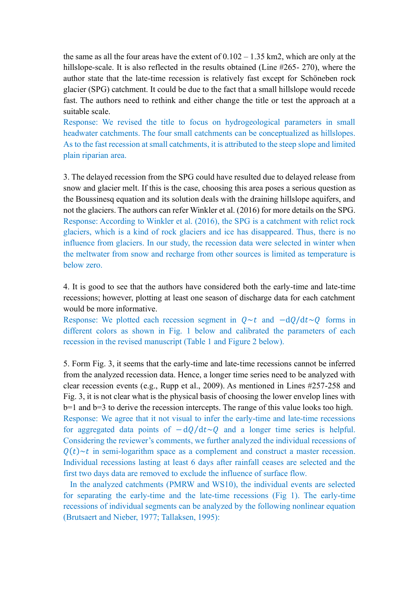the same as all the four areas have the extent of  $0.102 - 1.35$  km2, which are only at the hillslope-scale. It is also reflected in the results obtained (Line #265- 270), where the author state that the late-time recession is relatively fast except for Schöneben rock glacier (SPG) catchment. It could be due to the fact that a small hillslope would recede fast. The authors need to rethink and either change the title or test the approach at a suitable scale.

Response: We revised the title to focus on hydrogeological parameters in small headwater catchments. The four small catchments can be conceptualized as hillslopes. As to the fast recession at small catchments, it is attributed to the steep slope and limited plain riparian area.

3. The delayed recession from the SPG could have resulted due to delayed release from snow and glacier melt. If this is the case, choosing this area poses a serious question as the Boussinesq equation and its solution deals with the draining hillslope aquifers, and not the glaciers. The authors can refer Winkler et al. (2016) for more details on the SPG. Response: According to Winkler et al. (2016), the SPG is a catchment with relict rock glaciers, which is a kind of rock glaciers and ice has disappeared. Thus, there is no influence from glaciers. In our study, the recession data were selected in winter when the meltwater from snow and recharge from other sources is limited as temperature is below zero.

4. It is good to see that the authors have considered both the early-time and late-time recessions; however, plotting at least one season of discharge data for each catchment would be more informative.

Response: We plotted each recession segment in  $0 \sim t$  and  $-d0/dt \sim 0$  forms in different colors as shown in Fig. 1 below and calibrated the parameters of each recession in the revised manuscript (Table 1 and Figure 2 below).

5. Form Fig. 3, it seems that the early-time and late-time recessions cannot be inferred from the analyzed recession data. Hence, a longer time series need to be analyzed with clear recession events (e.g., Rupp et al., 2009). As mentioned in Lines #257-258 and Fig. 3, it is not clear what is the physical basis of choosing the lower envelop lines with b=1 and b=3 to derive the recession intercepts. The range of this value looks too high. Response: We agree that it not visual to infer the early-time and late-time recessions for aggregated data points of  $-dQ/dt \sim Q$  and a longer time series is helpful. Considering the reviewer's comments, we further analyzed the individual recessions of  $Q(t) \sim t$  in semi-logarithm space as a complement and construct a master recession. Individual recessions lasting at least 6 days after rainfall ceases are selected and the first two days data are removed to exclude the influence of surface flow.

 In the analyzed catchments (PMRW and WS10), the individual events are selected for separating the early-time and the late-time recessions (Fig 1). The early-time recessions of individual segments can be analyzed by the following nonlinear equation (Brutsaert and Nieber, 1977; Tallaksen, 1995):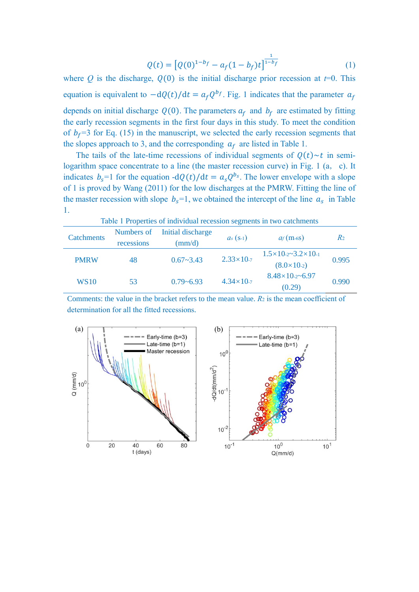$$
Q(t) = [Q(0)^{1-b_f} - a_f(1-b_f)t]^{\frac{1}{1-b_f}}
$$
\n(1)

where  $Q$  is the discharge,  $Q(0)$  is the initial discharge prior recession at  $t=0$ . This equation is equivalent to  $-dQ(t)/dt = a_f Q^{b_f}$ . Fig. 1 indicates that the parameter  $a_f$ depends on initial discharge  $Q(0)$ . The parameters  $a_f$  and  $b_f$  are estimated by fitting the early recession segments in the first four days in this study. To meet the condition of  $b_f$ =3 for Eq. (15) in the manuscript, we selected the early recession segments that the slopes approach to 3, and the corresponding  $a_f$  are listed in Table 1.

The tails of the late-time recessions of individual segments of  $Q(t) \sim t$  in semilogarithm space concentrate to a line (the master recession curve) in Fig. 1 (a, c). It indicates  $b_s = 1$  for the equation  $-dQ(t)/dt = a_s Q^{b_s}$ . The lower envelope with a slope of 1 is proved by Wang (2011) for the low discharges at the PMRW. Fitting the line of the master recession with slope  $b_s=1$ , we obtained the intercept of the line  $a_s$  in Table 1.

| Table 1 Properties of individual recession segments in two catchments |                          |                                      |                       |                                                                   |                |
|-----------------------------------------------------------------------|--------------------------|--------------------------------------|-----------------------|-------------------------------------------------------------------|----------------|
| <b>Catchments</b>                                                     | Numbers of<br>recessions | Initial discharge<br>$\text{(mm/d)}$ | $a_s$ (s-1)           | $a_f$ (m-6S)                                                      | R <sub>2</sub> |
| <b>PMRW</b>                                                           | 48                       | $0.67 - 3.43$                        | $2.33 \times 10^{-7}$ | $1.5 \times 10^{-2}$ $-3.2 \times 10^{-1}$<br>$(8.0 \times 10.2)$ | 0.995          |
| <b>WS10</b>                                                           | 53                       | $0.79 - 6.93$                        | $4.34 \times 10^{-7}$ | $8.48 \times 10^{-2}$ -6.97<br>(0.29)                             | 0.990          |

Comments: the value in the bracket refers to the mean value. *R*<sup>2</sup> is the mean coefficient of determination for all the fitted recessions.

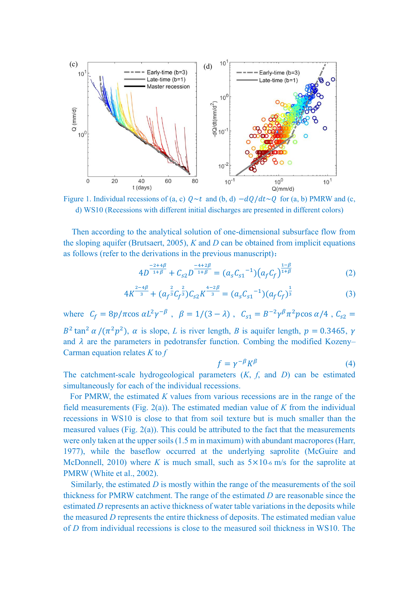

Figure 1. Individual recessions of (a, c)  $Q \sim t$  and (b, d)  $-dQ/dt \sim Q$  for (a, b) PMRW and (c, d) WS10 (Recessions with different initial discharges are presented in different colors)

Then according to the analytical solution of one-dimensional subsurface flow from the sloping aquifer (Brutsaert, 2005), *K* and *D* can be obtained from implicit equations as follows (refer to the derivations in the previous manuscript):

$$
4D^{\frac{-2+4\beta}{1+\beta}} + C_{s2}D^{\frac{-4+2\beta}{1+\beta}} = (a_sC_{s1}^{-1})(a_fC_f)^{\frac{1-\beta}{1+\beta}}
$$
 (2)

$$
4K^{\frac{2-4\beta}{3}} + (a_f^{\frac{2}{3}}C_f^{\frac{2}{3}})C_{s2}K^{\frac{4-2\beta}{3}} = (a_sC_{s1}^{-1})(a_fC_f)^{\frac{1}{3}}
$$
(3)

where  $C_f = 8p/\pi \cos \alpha L^2 \gamma^{-\beta}$ ,  $\beta = 1/(3 - \lambda)$ ,  $C_{s1} = B^{-2} \gamma^{\beta} \pi^2 p \cos \alpha / 4$ ,  $C_{s2} =$  $B^2 \tan^2 \alpha / (\pi^2 p^2)$ ,  $\alpha$  is slope, *L* is river length, *B* is aquifer length,  $p = 0.3465$ ,  $\gamma$ and  $\lambda$  are the parameters in pedotransfer function. Combing the modified Kozeny– Carman equation relates *K* to *f*

$$
f = \gamma^{-\beta} K^{\beta} \tag{4}
$$

The catchment-scale hydrogeological parameters (*K*, *f*, and *D*) can be estimated simultaneously for each of the individual recessions.

 For PMRW, the estimated *K* values from various recessions are in the range of the field measurements (Fig. 2(a)). The estimated median value of *K* from the individual recessions in WS10 is close to that from soil texture but is much smaller than the measured values (Fig. 2(a)). This could be attributed to the fact that the measurements were only taken at the upper soils (1.5 m in maximum) with abundant macropores (Harr, 1977), while the baseflow occurred at the underlying saprolite (McGuire and McDonnell, 2010) where *K* is much small, such as  $5 \times 10$ -6 m/s for the saprolite at PMRW (White et al., 2002).

Similarly, the estimated *D* is mostly within the range of the measurements of the soil thickness for PMRW catchment. The range of the estimated *D* are reasonable since the estimated *D* represents an active thickness of water table variations in the deposits while the measured *D* represents the entire thickness of deposits. The estimated median value of *D* from individual recessions is close to the measured soil thickness in WS10. The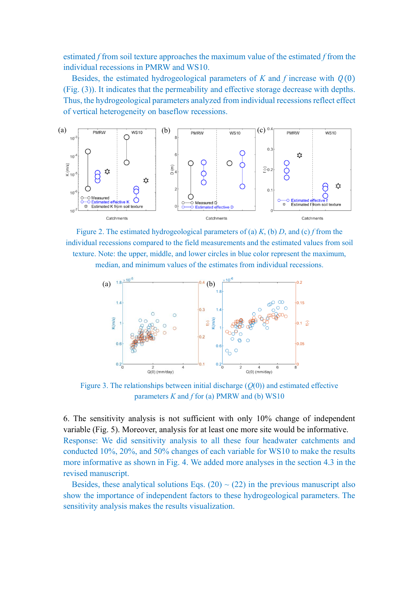estimated *f* from soil texture approaches the maximum value of the estimated *f* from the individual recessions in PMRW and WS10.

Besides, the estimated hydrogeological parameters of  $K$  and  $f$  increase with  $Q(0)$ (Fig. (3)). It indicates that the permeability and effective storage decrease with depths. Thus, the hydrogeological parameters analyzed from individual recessions reflect effect of vertical heterogeneity on baseflow recessions.



Figure 2. The estimated hydrogeological parameters of (a) *K*, (b) *D*, and (c) *f* from the individual recessions compared to the field measurements and the estimated values from soil texture. Note: the upper, middle, and lower circles in blue color represent the maximum, median, and minimum values of the estimates from individual recessions.



Figure 3. The relationships between initial discharge  $(Q(0))$  and estimated effective parameters *K* and *f* for (a) PMRW and (b) WS10

6. The sensitivity analysis is not sufficient with only 10% change of independent variable (Fig. 5). Moreover, analysis for at least one more site would be informative. Response: We did sensitivity analysis to all these four headwater catchments and conducted 10%, 20%, and 50% changes of each variable for WS10 to make the results more informative as shown in Fig. 4. We added more analyses in the section 4.3 in the revised manuscript.

Besides, these analytical solutions Eqs.  $(20) \sim (22)$  in the previous manuscript also show the importance of independent factors to these hydrogeological parameters. The sensitivity analysis makes the results visualization.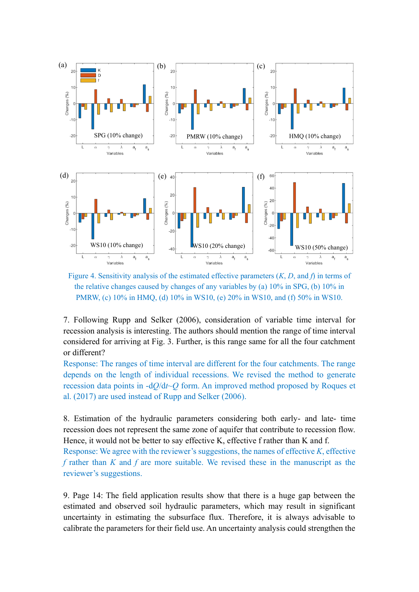

Figure 4. Sensitivity analysis of the estimated effective parameters (*K*, *D*, and *f*) in terms of the relative changes caused by changes of any variables by (a) 10% in SPG, (b) 10% in PMRW, (c) 10% in HMQ, (d) 10% in WS10, (e) 20% in WS10, and (f) 50% in WS10.

7. Following Rupp and Selker (2006), consideration of variable time interval for recession analysis is interesting. The authors should mention the range of time interval considered for arriving at Fig. 3. Further, is this range same for all the four catchment or different?

Response: The ranges of time interval are different for the four catchments. The range depends on the length of individual recessions. We revised the method to generate recession data points in -d*Q*/d*t*~*Q* form. An improved method proposed by Roques et al. (2017) are used instead of Rupp and Selker (2006).

8. Estimation of the hydraulic parameters considering both early- and late- time recession does not represent the same zone of aquifer that contribute to recession flow. Hence, it would not be better to say effective K, effective f rather than K and f.

Response: We agree with the reviewer's suggestions, the names of effective *K*, effective *f* rather than *K* and *f* are more suitable. We revised these in the manuscript as the reviewer's suggestions.

9. Page 14: The field application results show that there is a huge gap between the estimated and observed soil hydraulic parameters, which may result in significant uncertainty in estimating the subsurface flux. Therefore, it is always advisable to calibrate the parameters for their field use. An uncertainty analysis could strengthen the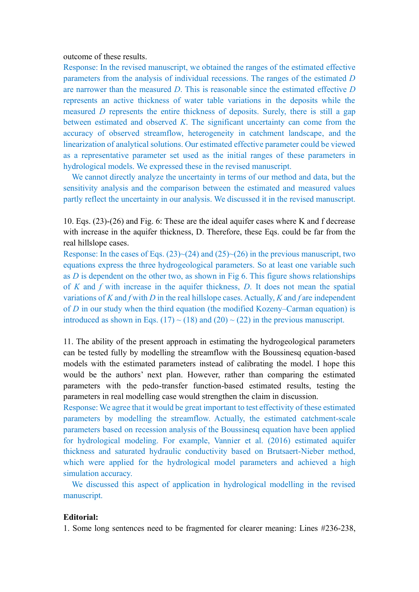outcome of these results.

Response: In the revised manuscript, we obtained the ranges of the estimated effective parameters from the analysis of individual recessions. The ranges of the estimated *D* are narrower than the measured *D*. This is reasonable since the estimated effective *D* represents an active thickness of water table variations in the deposits while the measured *D* represents the entire thickness of deposits. Surely, there is still a gap between estimated and observed *K*. The significant uncertainty can come from the accuracy of observed streamflow, heterogeneity in catchment landscape, and the linearization of analytical solutions. Our estimated effective parameter could be viewed as a representative parameter set used as the initial ranges of these parameters in hydrological models. We expressed these in the revised manuscript.

We cannot directly analyze the uncertainty in terms of our method and data, but the sensitivity analysis and the comparison between the estimated and measured values partly reflect the uncertainty in our analysis. We discussed it in the revised manuscript.

10. Eqs. (23)-(26) and Fig. 6: These are the ideal aquifer cases where K and f decrease with increase in the aquifer thickness, D. Therefore, these Eqs. could be far from the real hillslope cases.

Response: In the cases of Eqs.  $(23)$   $\sim$   $(24)$  and  $(25)$   $\sim$   $(26)$  in the previous manuscript, two equations express the three hydrogeological parameters. So at least one variable such as *D* is dependent on the other two, as shown in Fig 6. This figure shows relationships of *K* and *f* with increase in the aquifer thickness, *D*. It does not mean the spatial variations of *K* and *f* with *D* in the real hillslope cases. Actually, *K* and *f* are independent of *D* in our study when the third equation (the modified Kozeny–Carman equation) is introduced as shown in Eqs. (17) ~ (18) and (20) ~ (22) in the previous manuscript.

11. The ability of the present approach in estimating the hydrogeological parameters can be tested fully by modelling the streamflow with the Boussinesq equation-based models with the estimated parameters instead of calibrating the model. I hope this would be the authors' next plan. However, rather than comparing the estimated parameters with the pedo-transfer function-based estimated results, testing the parameters in real modelling case would strengthen the claim in discussion.

Response: We agree that it would be great important to test effectivity of these estimated parameters by modelling the streamflow. Actually, the estimated catchment-scale parameters based on recession analysis of the Boussinesq equation have been applied for hydrological modeling. For example, Vannier et al. (2016) estimated aquifer thickness and saturated hydraulic conductivity based on Brutsaert-Nieber method, which were applied for the hydrological model parameters and achieved a high simulation accuracy.

 We discussed this aspect of application in hydrological modelling in the revised manuscript.

### **Editorial:**

1. Some long sentences need to be fragmented for clearer meaning: Lines #236-238,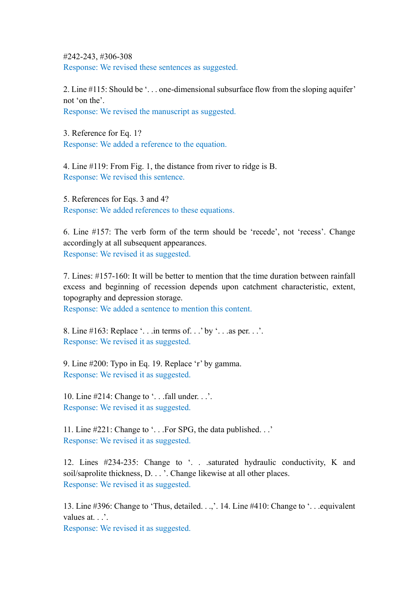#242-243, #306-308 Response: We revised these sentences as suggested.

2. Line #115: Should be '. . . one-dimensional subsurface flow from the sloping aquifer' not 'on the'.

Response: We revised the manuscript as suggested.

3. Reference for Eq. 1? Response: We added a reference to the equation.

4. Line #119: From Fig. 1, the distance from river to ridge is B. Response: We revised this sentence.

5. References for Eqs. 3 and 4? Response: We added references to these equations.

6. Line #157: The verb form of the term should be 'recede', not 'recess'. Change accordingly at all subsequent appearances. Response: We revised it as suggested.

7. Lines: #157-160: It will be better to mention that the time duration between rainfall excess and beginning of recession depends upon catchment characteristic, extent, topography and depression storage.

Response: We added a sentence to mention this content.

8. Line  $\#163$ : Replace '... in terms of...' by '... as per...'. Response: We revised it as suggested.

9. Line #200: Typo in Eq. 19. Replace 'r' by gamma. Response: We revised it as suggested.

10. Line  $\#214$ : Change to '... fall under...'. Response: We revised it as suggested.

11. Line #221: Change to '. . .For SPG, the data published. . .' Response: We revised it as suggested.

12. Lines #234-235: Change to '. . .saturated hydraulic conductivity, K and soil/saprolite thickness, D. . . '. Change likewise at all other places. Response: We revised it as suggested.

13. Line #396: Change to 'Thus, detailed. . .,'. 14. Line #410: Change to '. . .equivalent values at. . .'.

Response: We revised it as suggested.